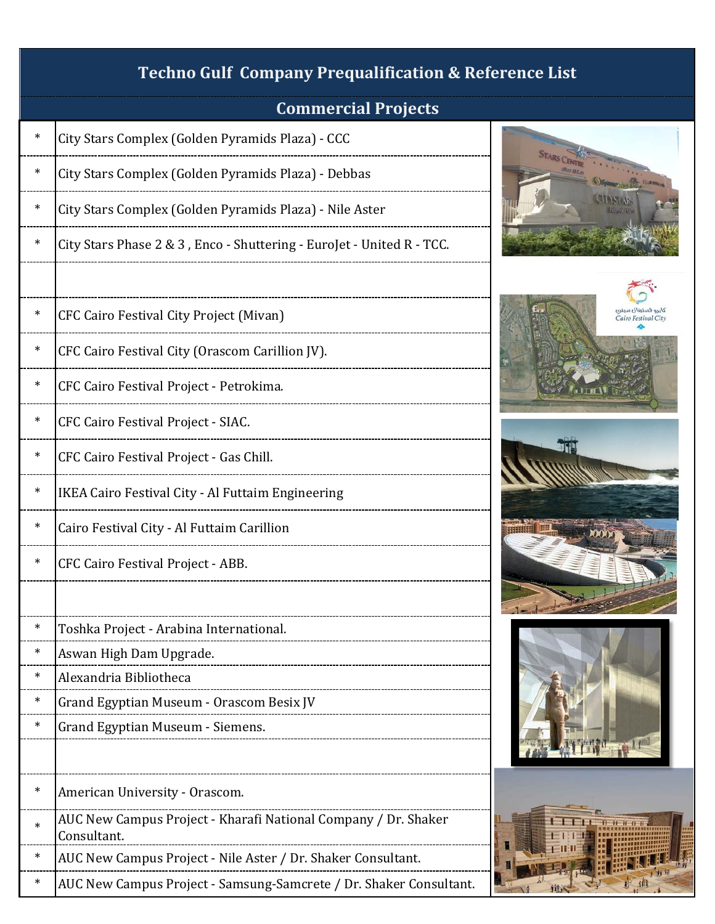# City Stars Complex (Golden Pyramids Plaza) - CCC City Stars Complex (Golden Pyramids Plaza) - Debbas City Stars Complex (Golden Pyramids Plaza) - Nile Aster City Stars Phase 2 & 3, Enco - Shuttering - EuroJet - United R - TCC. CFC Cairo Festival City Project (Mivan) \* CFC Cairo Festival City (Orascom Carillion JV). \* CFC Cairo Festival Project - Petrokima. CFC Cairo Festival Project - SIAC. CFC Cairo Festival Project - Gas Chill. IKEA Cairo Festival City - Al Futtaim Engineering \* Cairo Festival City - Al Futtaim Carillion CFC Cairo Festival Project - ABB. Toshka Project - Arabina International. Aswan High Dam Upgrade. Alexandria Bibliotheca Grand Egyptian Museum - Orascom Besix JV Grand Egyptian Museum - Siemens. American University - Orascom. \* AUC New Campus Project - Kharafi National Company / Dr. Shaker Consultant. AUC New Campus Project - Nile Aster / Dr. Shaker Consultant. AUC New Campus Project - Samsung-Samcrete / Dr. Shaker Consultant. **Techno Gulf Company Prequalification & Reference List Commercial Projects**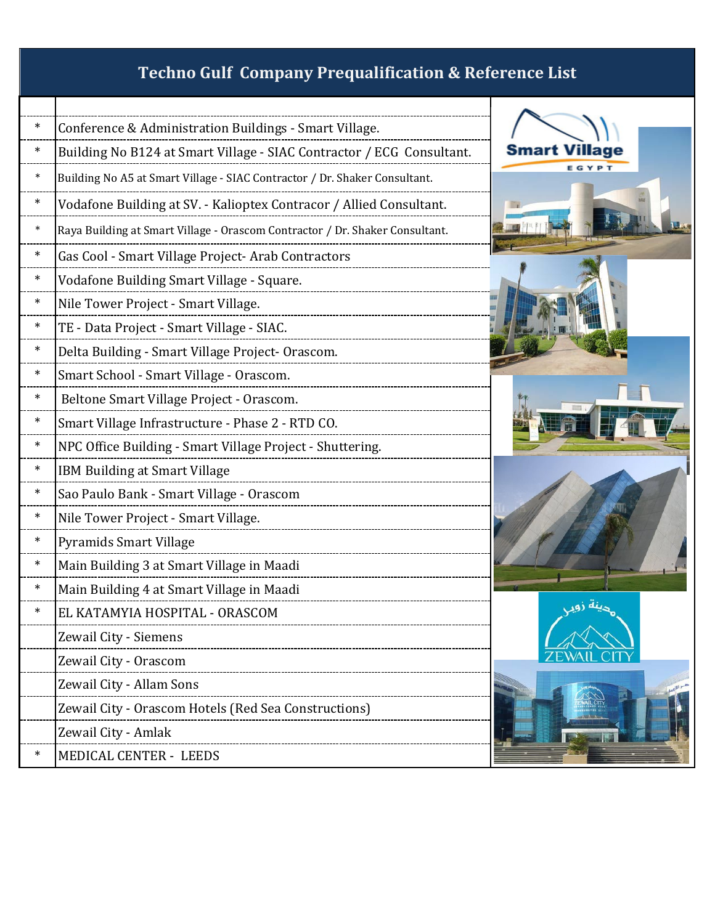| $\ast$ | Conference & Administration Buildings - Smart Village.                       |  |
|--------|------------------------------------------------------------------------------|--|
| $\ast$ | Building No B124 at Smart Village - SIAC Contractor / ECG Consultant.        |  |
| $\ast$ | Building No A5 at Smart Village - SIAC Contractor / Dr. Shaker Consultant.   |  |
| $\ast$ | Vodafone Building at SV. - Kalioptex Contracor / Allied Consultant.          |  |
| $\ast$ | Raya Building at Smart Village - Orascom Contractor / Dr. Shaker Consultant. |  |
| $\ast$ | Gas Cool - Smart Village Project- Arab Contractors                           |  |
| $\ast$ | Vodafone Building Smart Village - Square.                                    |  |
| $\ast$ | Nile Tower Project - Smart Village.                                          |  |
| $\ast$ | TE - Data Project - Smart Village - SIAC.                                    |  |
| ∗      | Delta Building - Smart Village Project- Orascom.                             |  |
| $\ast$ | Smart School - Smart Village - Orascom.                                      |  |
| $\ast$ | Beltone Smart Village Project - Orascom.                                     |  |
| $\ast$ | Smart Village Infrastructure - Phase 2 - RTD CO.                             |  |
| $\ast$ | NPC Office Building - Smart Village Project - Shuttering.                    |  |
| $\ast$ | IBM Building at Smart Village                                                |  |
| $\ast$ | Sao Paulo Bank - Smart Village - Orascom                                     |  |
| $\ast$ | Nile Tower Project - Smart Village.                                          |  |
| $\ast$ | Pyramids Smart Village                                                       |  |
| $\ast$ | Main Building 3 at Smart Village in Maadi                                    |  |
| ∗      | Main Building 4 at Smart Village in Maadi                                    |  |
| $\ast$ | EL KATAMYIA HOSPITAL - ORASCOM                                               |  |
|        | Zewail City - Siemens                                                        |  |
|        | Zewail City - Orascom                                                        |  |
|        | Zewail City - Allam Sons                                                     |  |
|        | Zewail City - Orascom Hotels (Red Sea Constructions)                         |  |
|        | Zewail City - Amlak                                                          |  |
| *      | <b>MEDICAL CENTER - LEEDS</b>                                                |  |

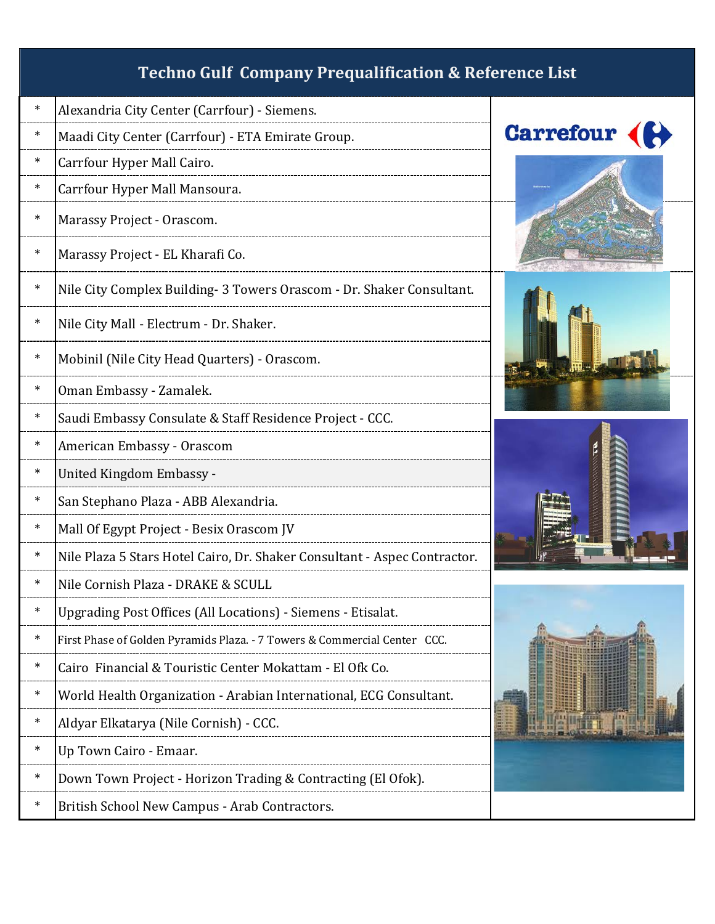| $\ast$ | Alexandria City Center (Carrfour) - Siemens.                              |  |
|--------|---------------------------------------------------------------------------|--|
| $\ast$ | Maadi City Center (Carrfour) - ETA Emirate Group.                         |  |
| $\ast$ | Carrfour Hyper Mall Cairo.                                                |  |
| $\ast$ | Carrfour Hyper Mall Mansoura.                                             |  |
| $\ast$ | Marassy Project - Orascom.                                                |  |
| $\ast$ | Marassy Project - EL Kharafi Co.                                          |  |
| $\ast$ | Nile City Complex Building- 3 Towers Orascom - Dr. Shaker Consultant.     |  |
| $\ast$ | Nile City Mall - Electrum - Dr. Shaker.                                   |  |
| $\ast$ | Mobinil (Nile City Head Quarters) - Orascom.                              |  |
| $\ast$ | Oman Embassy - Zamalek.                                                   |  |
| $\ast$ | Saudi Embassy Consulate & Staff Residence Project - CCC.                  |  |
| $\ast$ | American Embassy - Orascom                                                |  |
| $\ast$ | United Kingdom Embassy -                                                  |  |
| $\ast$ | San Stephano Plaza - ABB Alexandria.                                      |  |
| $\ast$ | Mall Of Egypt Project - Besix Orascom JV                                  |  |
| $\ast$ | Nile Plaza 5 Stars Hotel Cairo, Dr. Shaker Consultant - Aspec Contractor. |  |
| $\ast$ | Nile Cornish Plaza - DRAKE & SCULL                                        |  |
| $\ast$ | Upgrading Post Offices (All Locations) - Siemens - Etisalat.              |  |
| $\ast$ | First Phase of Golden Pyramids Plaza. - 7 Towers & Commercial Center CCC. |  |
| ∗      | Cairo Financial & Touristic Center Mokattam - El Ofk Co.                  |  |
| ∗      | World Health Organization - Arabian International, ECG Consultant.        |  |
| ∗      | Aldyar Elkatarya (Nile Cornish) - CCC.                                    |  |
| ∗      | Up Town Cairo - Emaar.                                                    |  |
| ∗      | Down Town Project - Horizon Trading & Contracting (El Ofok).              |  |
| ∗      | British School New Campus - Arab Contractors.                             |  |





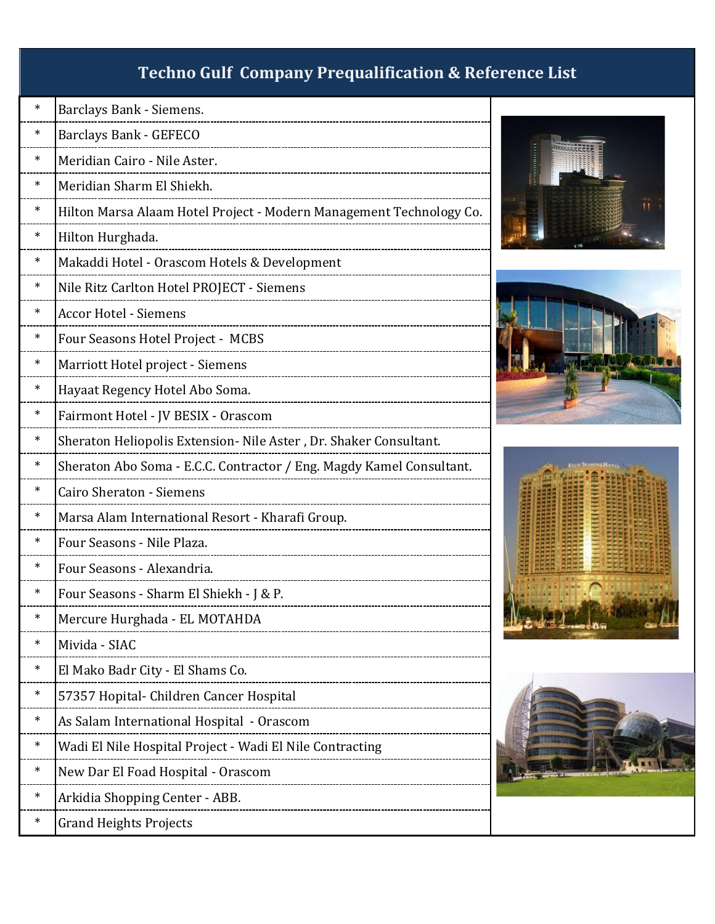| $\ast$ | Barclays Bank - Siemens.                                             |    |
|--------|----------------------------------------------------------------------|----|
| ∗      | Barclays Bank - GEFECO                                               |    |
| $\ast$ | Meridian Cairo - Nile Aster.                                         |    |
| ∗      | Meridian Sharm El Shiekh.                                            |    |
| $\ast$ | Hilton Marsa Alaam Hotel Project - Modern Management Technology Co.  |    |
| ∗      | Hilton Hurghada.                                                     |    |
| $\ast$ | Makaddi Hotel - Orascom Hotels & Development                         |    |
| $\ast$ | Nile Ritz Carlton Hotel PROJECT - Siemens                            |    |
| ∗      | <b>Accor Hotel - Siemens</b>                                         |    |
| $\ast$ | Four Seasons Hotel Project - MCBS                                    |    |
| $\ast$ | Marriott Hotel project - Siemens                                     |    |
| $\ast$ | Hayaat Regency Hotel Abo Soma.                                       |    |
| $\ast$ | Fairmont Hotel - JV BESIX - Orascom                                  |    |
| $\ast$ | Sheraton Heliopolis Extension- Nile Aster, Dr. Shaker Consultant.    |    |
| ∗      | Sheraton Abo Soma - E.C.C. Contractor / Eng. Magdy Kamel Consultant. |    |
| $\ast$ | <b>Cairo Sheraton - Siemens</b>                                      |    |
| ∗      | Marsa Alam International Resort - Kharafi Group.                     |    |
| ∗      | Four Seasons - Nile Plaza.                                           |    |
| $\ast$ | Four Seasons - Alexandria.                                           |    |
| ∗      | Four Seasons - Sharm El Shiekh - J & P.                              |    |
| $\ast$ | Mercure Hurghada - EL MOTAHDA                                        | 地步 |
| $\ast$ | Mivida - SIAC                                                        |    |
| $\ast$ | El Mako Badr City - El Shams Co.                                     |    |
| $\ast$ | 57357 Hopital- Children Cancer Hospital                              |    |
| ∗      | As Salam International Hospital - Orascom                            |    |
| ∗      | Wadi El Nile Hospital Project - Wadi El Nile Contracting             |    |
| ∗      | New Dar El Foad Hospital - Orascom                                   |    |
| $\ast$ | Arkidia Shopping Center - ABB.                                       |    |
| ∗      | <b>Grand Heights Projects</b>                                        |    |







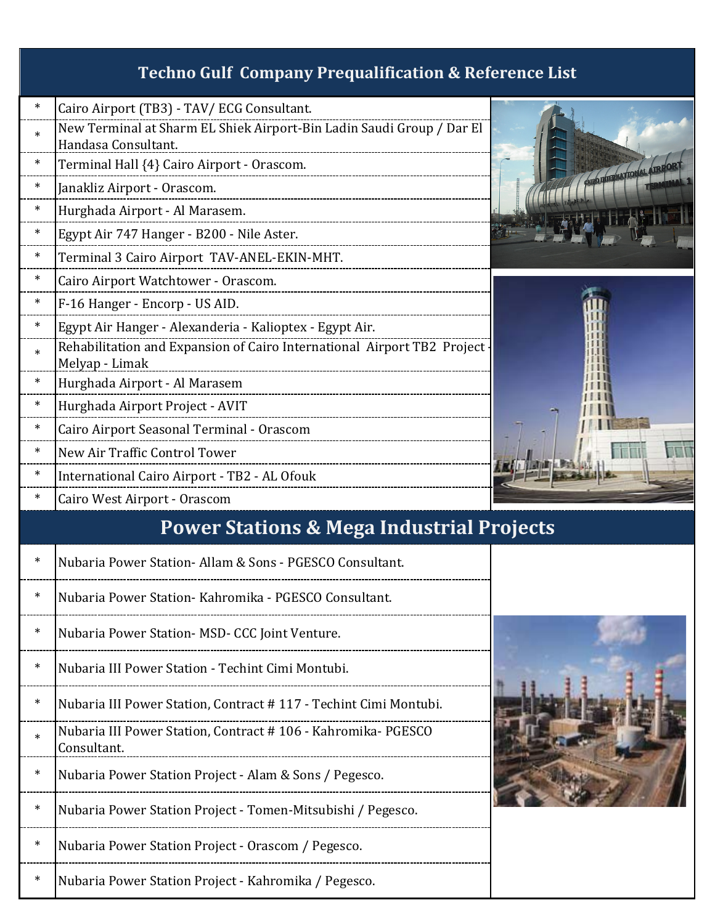| $\ast$ | Cairo Airport (TB3) - TAV/ ECG Consultant.                                                   |                           |
|--------|----------------------------------------------------------------------------------------------|---------------------------|
| $\ast$ | New Terminal at Sharm EL Shiek Airport-Bin Ladin Saudi Group / Dar El<br>Handasa Consultant. |                           |
| $\ast$ |                                                                                              |                           |
|        | Terminal Hall {4} Cairo Airport - Orascom.                                                   | CARGO DITERNATIONAL AIRPO |
| $\ast$ | Janakliz Airport - Orascom.                                                                  |                           |
| $\ast$ | Hurghada Airport - Al Marasem.                                                               |                           |
| $\ast$ | Egypt Air 747 Hanger - B200 - Nile Aster.                                                    |                           |
| $\ast$ | Terminal 3 Cairo Airport TAV-ANEL-EKIN-MHT.                                                  |                           |
| $\ast$ | Cairo Airport Watchtower - Orascom.                                                          |                           |
| $\ast$ | F-16 Hanger - Encorp - US AID.                                                               |                           |
| $\ast$ | Egypt Air Hanger - Alexanderia - Kalioptex - Egypt Air.                                      |                           |
| $\ast$ | Rehabilitation and Expansion of Cairo International Airport TB2 Project                      |                           |
|        | Melyap - Limak                                                                               |                           |
| $\ast$ | Hurghada Airport - Al Marasem                                                                |                           |
| $\ast$ | Hurghada Airport Project - AVIT                                                              |                           |
| $\ast$ | Cairo Airport Seasonal Terminal - Orascom                                                    |                           |
| $\ast$ | New Air Traffic Control Tower                                                                |                           |
| $\ast$ | International Cairo Airport - TB2 - AL Ofouk                                                 |                           |
| $\ast$ | Cairo West Airport - Orascom                                                                 |                           |
|        | <b>Power Stations &amp; Mega Industrial Projects</b>                                         |                           |
| $\ast$ | Nubaria Power Station- Allam & Sons - PGESCO Consultant.                                     |                           |
| $\ast$ | Nubaria Power Station- Kahromika - PGESCO Consultant.                                        |                           |
|        |                                                                                              |                           |

- Nubaria Power Station- MSD- CCC Joint Venture.
- \* Nubaria III Power Station Techint Cimi Montubi.
- \* Nubaria III Power Station, Contract # 117 Techint Cimi Montubi.
- $_{*}$  Nubaria III Power Station, Contract # 106 Kahromika- PGESCO Consultant.
- \* Nubaria Power Station Project Alam & Sons / Pegesco.
- \* Nubaria Power Station Project Tomen-Mitsubishi / Pegesco.
- \* Nubaria Power Station Project Orascom / Pegesco.

Nubaria Power Station Project - Kahromika / Pegesco.

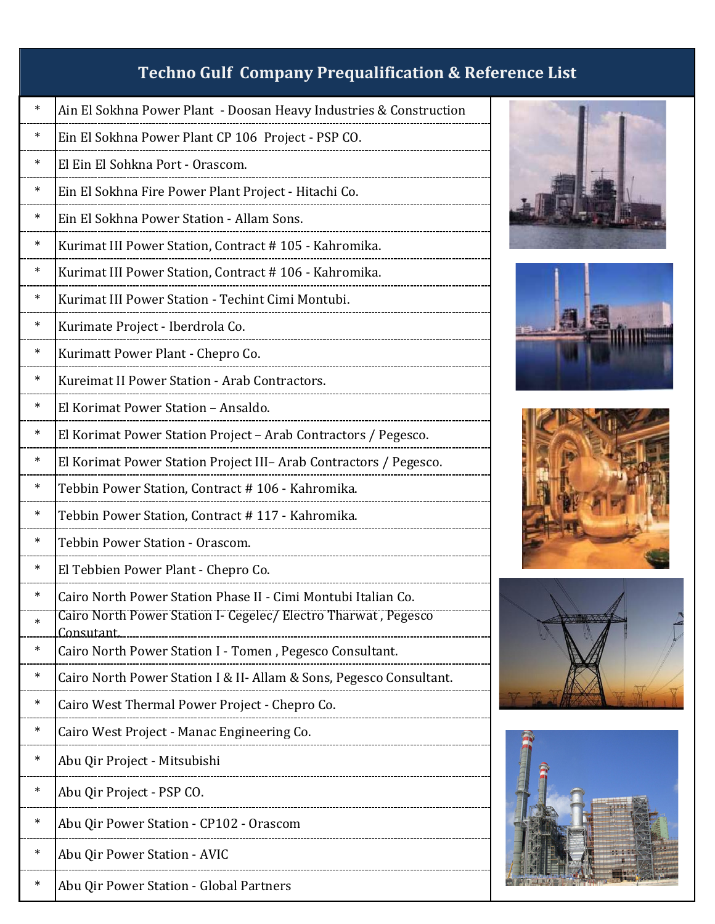| $\ast$ | Ain El Sokhna Power Plant - Doosan Heavy Industries & Construction                  |
|--------|-------------------------------------------------------------------------------------|
| ∗      | Ein El Sokhna Power Plant CP 106 Project - PSP CO.                                  |
| ∗      | El Ein El Sohkna Port - Orascom.                                                    |
| ∗      | Ein El Sokhna Fire Power Plant Project - Hitachi Co.                                |
| ∗      | Ein El Sokhna Power Station - Allam Sons.                                           |
| ∗      | Kurimat III Power Station, Contract # 105 - Kahromika.                              |
| ∗      | Kurimat III Power Station, Contract # 106 - Kahromika.                              |
| ∗      | Kurimat III Power Station - Techint Cimi Montubi.                                   |
| ∗      | Kurimate Project - Iberdrola Co.                                                    |
| ∗      | Kurimatt Power Plant - Chepro Co.                                                   |
| ∗      | Kureimat II Power Station - Arab Contractors.                                       |
| ∗      | El Korimat Power Station - Ansaldo.                                                 |
| ∗      | El Korimat Power Station Project - Arab Contractors / Pegesco.                      |
| $\ast$ | El Korimat Power Station Project III- Arab Contractors / Pegesco.                   |
| $\ast$ | Tebbin Power Station, Contract # 106 - Kahromika.                                   |
| ∗      | Tebbin Power Station, Contract # 117 - Kahromika.                                   |
| ∗      | Tebbin Power Station - Orascom.                                                     |
| $\ast$ | El Tebbien Power Plant - Chepro Co.                                                 |
| $\ast$ | Cairo North Power Station Phase II - Cimi Montubi Italian Co.                       |
| ∗      | Cairo North Power Station I- Cegelec/ Electro Tharwat, Pegesco<br><u>Consutant.</u> |
| ∗      | Cairo North Power Station I - Tomen, Pegesco Consultant.                            |
| ∗      | Cairo North Power Station I & II- Allam & Sons, Pegesco Consultant.                 |
| ∗      | Cairo West Thermal Power Project - Chepro Co.                                       |
| ∗      | Cairo West Project - Manac Engineering Co.                                          |
| ∗      | Abu Qir Project - Mitsubishi                                                        |
| ∗      | Abu Qir Project - PSP CO.                                                           |
| ∗      | Abu Qir Power Station - CP102 - Orascom                                             |
| ∗      | Abu Qir Power Station - AVIC                                                        |
| ∗      | Abu Qir Power Station - Global Partners                                             |









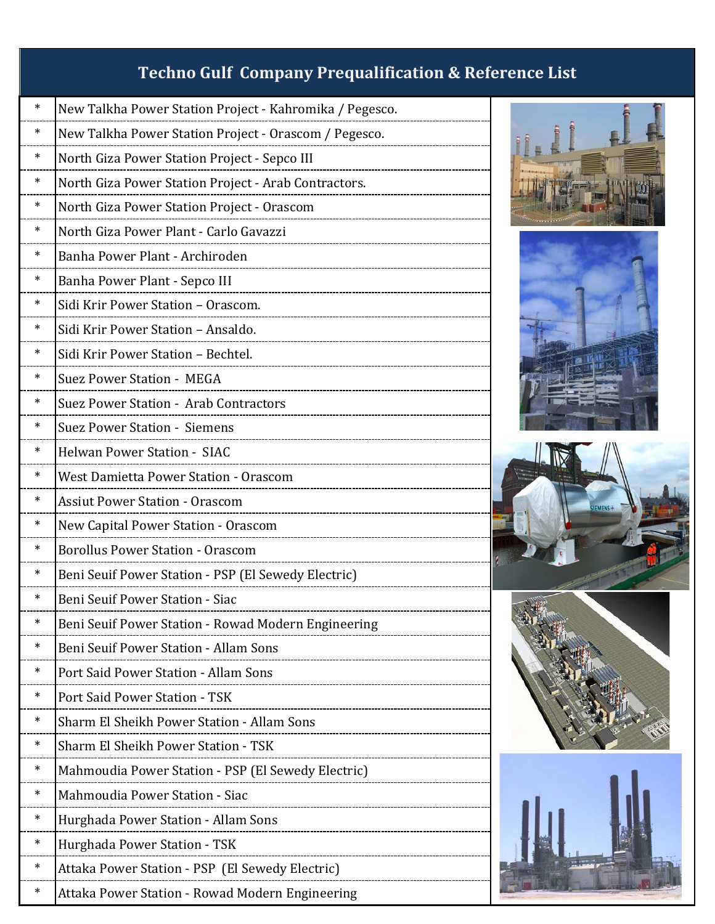| ∗      | New Talkha Power Station Project - Kahromika / Pegesco. |
|--------|---------------------------------------------------------|
| ∗      | New Talkha Power Station Project - Orascom / Pegesco.   |
| ∗      | North Giza Power Station Project - Sepco III            |
| ∗      | North Giza Power Station Project - Arab Contractors.    |
| ∗      | North Giza Power Station Project - Orascom              |
| ∗      | North Giza Power Plant - Carlo Gavazzi                  |
| ∗      | Banha Power Plant - Archiroden                          |
| ∗      | Banha Power Plant - Sepco III                           |
| ∗      | Sidi Krir Power Station - Orascom.                      |
| ∗      | Sidi Krir Power Station - Ansaldo.                      |
| ∗      | Sidi Krir Power Station - Bechtel.                      |
| ∗      | Suez Power Station - MEGA                               |
| ∗      | Suez Power Station - Arab Contractors                   |
| ∗      | <b>Suez Power Station - Siemens</b>                     |
| ∗      | <b>Helwan Power Station - SIAC</b>                      |
| ∗      | West Damietta Power Station - Orascom                   |
| ∗      | <b>Assiut Power Station - Orascom</b>                   |
| ∗      | New Capital Power Station - Orascom                     |
| ∗      | <b>Borollus Power Station - Orascom</b>                 |
| ∗      | Beni Seuif Power Station - PSP (El Sewedy Electric)     |
| ∗      | <b>Beni Seuif Power Station - Siac</b>                  |
| ∗      | Beni Seuif Power Station - Rowad Modern Engineering     |
| ∗      | <b>Beni Seuif Power Station - Allam Sons</b>            |
| ∗      | Port Said Power Station - Allam Sons                    |
| ∗      | Port Said Power Station - TSK                           |
| $\ast$ | Sharm El Sheikh Power Station - Allam Sons              |
| $\ast$ | <b>Sharm El Sheikh Power Station - TSK</b>              |
| ∗      | Mahmoudia Power Station - PSP (El Sewedy Electric)      |
| ∗      | Mahmoudia Power Station - Siac                          |
| ∗      | Hurghada Power Station - Allam Sons                     |
| ∗      | Hurghada Power Station - TSK                            |
| ∗      | Attaka Power Station - PSP (El Sewedy Electric)         |
| ∗      | Attaka Power Station - Rowad Modern Engineering         |



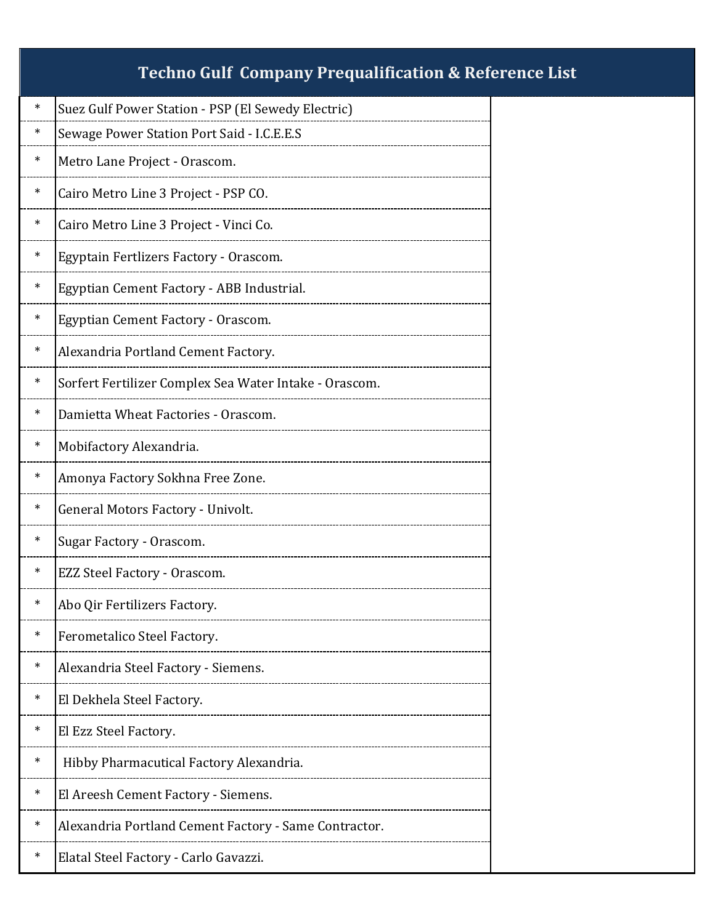| $\ast$ | Suez Gulf Power Station - PSP (El Sewedy Electric)     |
|--------|--------------------------------------------------------|
| ∗      | Sewage Power Station Port Said - I.C.E.E.S             |
| $\ast$ | Metro Lane Project - Orascom.                          |
| ∗      | Cairo Metro Line 3 Project - PSP CO.                   |
| ∗      | Cairo Metro Line 3 Project - Vinci Co.                 |
| ∗      | Egyptain Fertlizers Factory - Orascom.                 |
| ∗      | Egyptian Cement Factory - ABB Industrial.              |
| ∗      | Egyptian Cement Factory - Orascom.                     |
| ∗      | Alexandria Portland Cement Factory.                    |
| ∗      | Sorfert Fertilizer Complex Sea Water Intake - Orascom. |
| ∗      | Damietta Wheat Factories - Orascom.                    |
| ∗      | Mobifactory Alexandria.                                |
| ∗      | Amonya Factory Sokhna Free Zone.                       |
| ∗      | General Motors Factory - Univolt.                      |
| ∗      | Sugar Factory - Orascom.                               |
| ∗      | EZZ Steel Factory - Orascom.                           |
| ∗      | Abo Qir Fertilizers Factory.                           |
| $\ast$ | Ferometalico Steel Factory.                            |
| ∗      | Alexandria Steel Factory - Siemens.                    |
| ∗      | El Dekhela Steel Factory.                              |
| ∗      | El Ezz Steel Factory.                                  |
| ∗      | Hibby Pharmacutical Factory Alexandria.                |
| ∗      | El Areesh Cement Factory - Siemens.                    |
| ∗      | Alexandria Portland Cement Factory - Same Contractor.  |
| ∗      | Elatal Steel Factory - Carlo Gavazzi.                  |